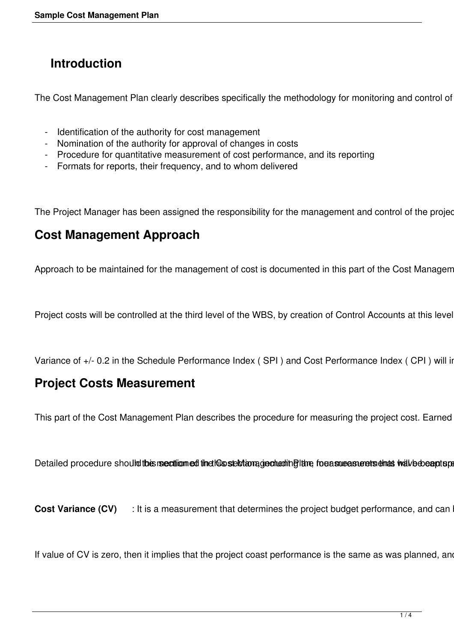### **Introduction**

The Cost Management Plan clearly describes specifically the methodology for monitoring and control of

- Identification of the authority for cost management
- Nomination of the authority for approval of changes in costs
- Procedure for quantitative measurement of cost performance, and its reporting
- Formats for reports, their frequency, and to whom delivered

The Project Manager has been assigned the responsibility for the management and control of the project

### **Cost Management Approach**

Approach to be maintained for the management of cost is documented in this part of the Cost Managem

Project costs will be controlled at the third level of the WBS, by creation of Control Accounts at this level

Variance of +/- 0.2 in the Schedule Performance Index (SPI) and Cost Performance Index (CPI) will in

### **Project Costs Measurement**

This part of the Cost Management Plan describes the procedure for measuring the project cost. Earned

Detailed procedure should the recution ed the hostelot angeometing the foe as we as or trailed procedure should

**Cost Variance (CV)**  $\therefore$  It is a measurement that determines the project budget performance, and can

If value of CV is zero, then it implies that the project coast performance is the same as was planned, and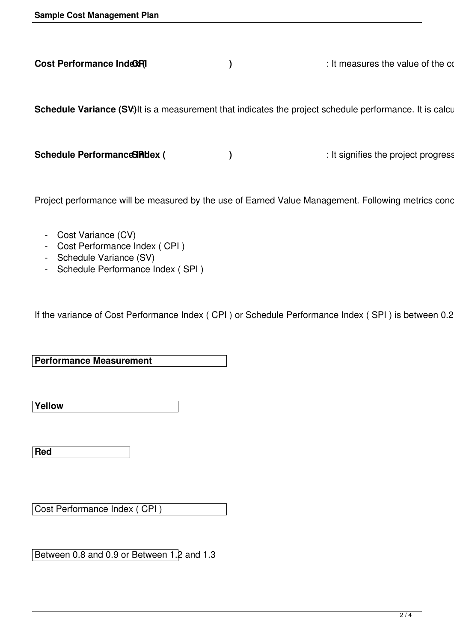**Cost Performance IndexP(I contract)** (and it measures the value of the contract point of the contract point of

Schedule Variance (SV) It is a measurement that indicates the project schedule performance. It is calcu

Schedule PerformanceSIPtex ( ) and a control of the project progress

Project performance will be measured by the use of Earned Value Management. Following metrics conc

- Cost Variance (CV)
- Cost Performance Index ( CPI )
- Schedule Variance (SV)
- Schedule Performance Index ( SPI )

If the variance of Cost Performance Index ( CPI ) or Schedule Performance Index ( SPI ) is between 0.2

**Performance Measurement** 

**Yellow** 

**Red** 

Cost Performance Index ( CPI )

Between 0.8 and 0.9 or Between 1.2 and 1.3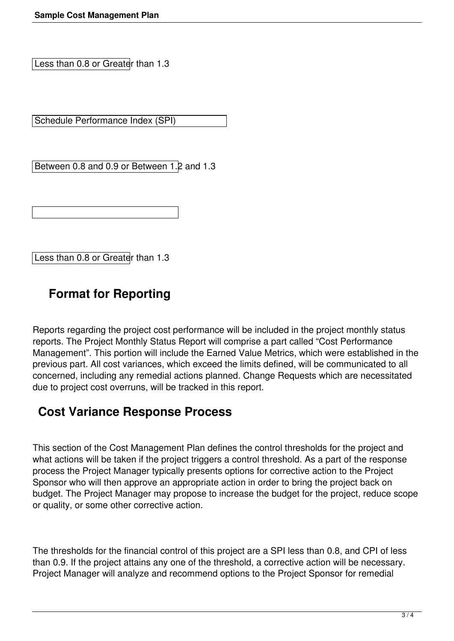Less than 0.8 or Greater than 1.3

Schedule Performance Index (SPI)

Between 0.8 and 0.9 or Between 1.2 and 1.3

Less than 0.8 or Greater than 1.3

## **Format for Reporting**

Reports regarding the project cost performance will be included in the project monthly status reports. The Project Monthly Status Report will comprise a part called "Cost Performance Management". This portion will include the Earned Value Metrics, which were established in the previous part. All cost variances, which exceed the limits defined, will be communicated to all concerned, including any remedial actions planned. Change Requests which are necessitated due to project cost overruns, will be tracked in this report.

### **Cost Variance Response Process**

This section of the Cost Management Plan defines the control thresholds for the project and what actions will be taken if the project triggers a control threshold. As a part of the response process the Project Manager typically presents options for corrective action to the Project Sponsor who will then approve an appropriate action in order to bring the project back on budget. The Project Manager may propose to increase the budget for the project, reduce scope or quality, or some other corrective action.

The thresholds for the financial control of this project are a SPI less than 0.8, and CPI of less than 0.9. If the project attains any one of the threshold, a corrective action will be necessary. Project Manager will analyze and recommend options to the Project Sponsor for remedial